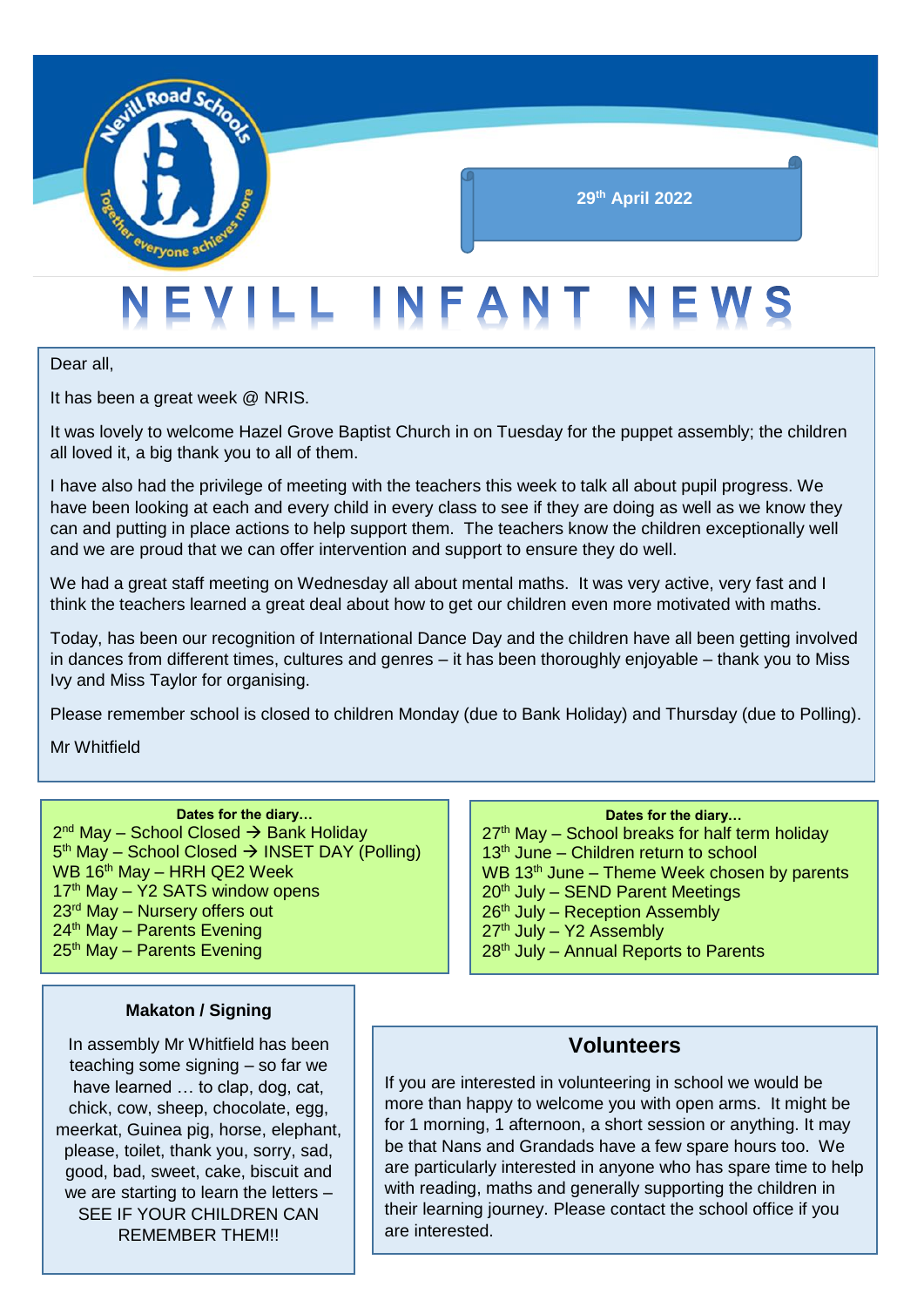

## **29th April 2022**

# EVILL INFANT NEWS

Dear all,

It has been a great week @ NRIS.

It was lovely to welcome Hazel Grove Baptist Church in on Tuesday for the puppet assembly; the children all loved it, a big thank you to all of them.

I have also had the privilege of meeting with the teachers this week to talk all about pupil progress. We have been looking at each and every child in every class to see if they are doing as well as we know they can and putting in place actions to help support them. The teachers know the children exceptionally well and we are proud that we can offer intervention and support to ensure they do well.

We had a great staff meeting on Wednesday all about mental maths. It was very active, very fast and I think the teachers learned a great deal about how to get our children even more motivated with maths.

Today, has been our recognition of International Dance Day and the children have all been getting involved in dances from different times, cultures and genres – it has been thoroughly enjoyable – thank you to Miss Ivy and Miss Taylor for organising.

Please remember school is closed to children Monday (due to Bank Holiday) and Thursday (due to Polling).

Mr Whitfield

#### **Dates for the diary…**

2<sup>nd</sup> May – School Closed → Bank Holiday 5<sup>th</sup> May – School Closed → INSET DAY (Polling)  $WB 16<sup>th</sup>$  May – HRH QE2 Week  $17<sup>th</sup>$  May – Y2 SATS window opens 23<sup>rd</sup> May – Nursery offers out 24<sup>th</sup> May - Parents Evening  $25<sup>th</sup>$  May – Parents Evening

#### $27<sup>th</sup>$  May – School breaks for half term holiday

**Dates for the diary…**

 $13<sup>th</sup>$  June – Children return to school WB  $13<sup>th</sup>$  June – Theme Week chosen by parents  $20<sup>th</sup>$  July – SEND Parent Meetings  $26<sup>th</sup>$  July – Reception Assembly  $27<sup>th</sup>$  July – Y2 Assembly  $28<sup>th</sup>$  July – Annual Reports to Parents

#### **Makaton / Signing**

In assembly Mr Whitfield has been teaching some signing – so far we have learned ... to clap, dog, cat, chick, cow, sheep, chocolate, egg, meerkat, Guinea pig, horse, elephant, please, toilet, thank you, sorry, sad, good, bad, sweet, cake, biscuit and we are starting to learn the letters – SEE IF YOUR CHILDREN CAN REMEMBER THEM!!

### **Volunteers**

If you are interested in volunteering in school we would be more than happy to welcome you with open arms. It might be for 1 morning, 1 afternoon, a short session or anything. It may be that Nans and Grandads have a few spare hours too. We are particularly interested in anyone who has spare time to help with reading, maths and generally supporting the children in their learning journey. Please contact the school office if you are interested.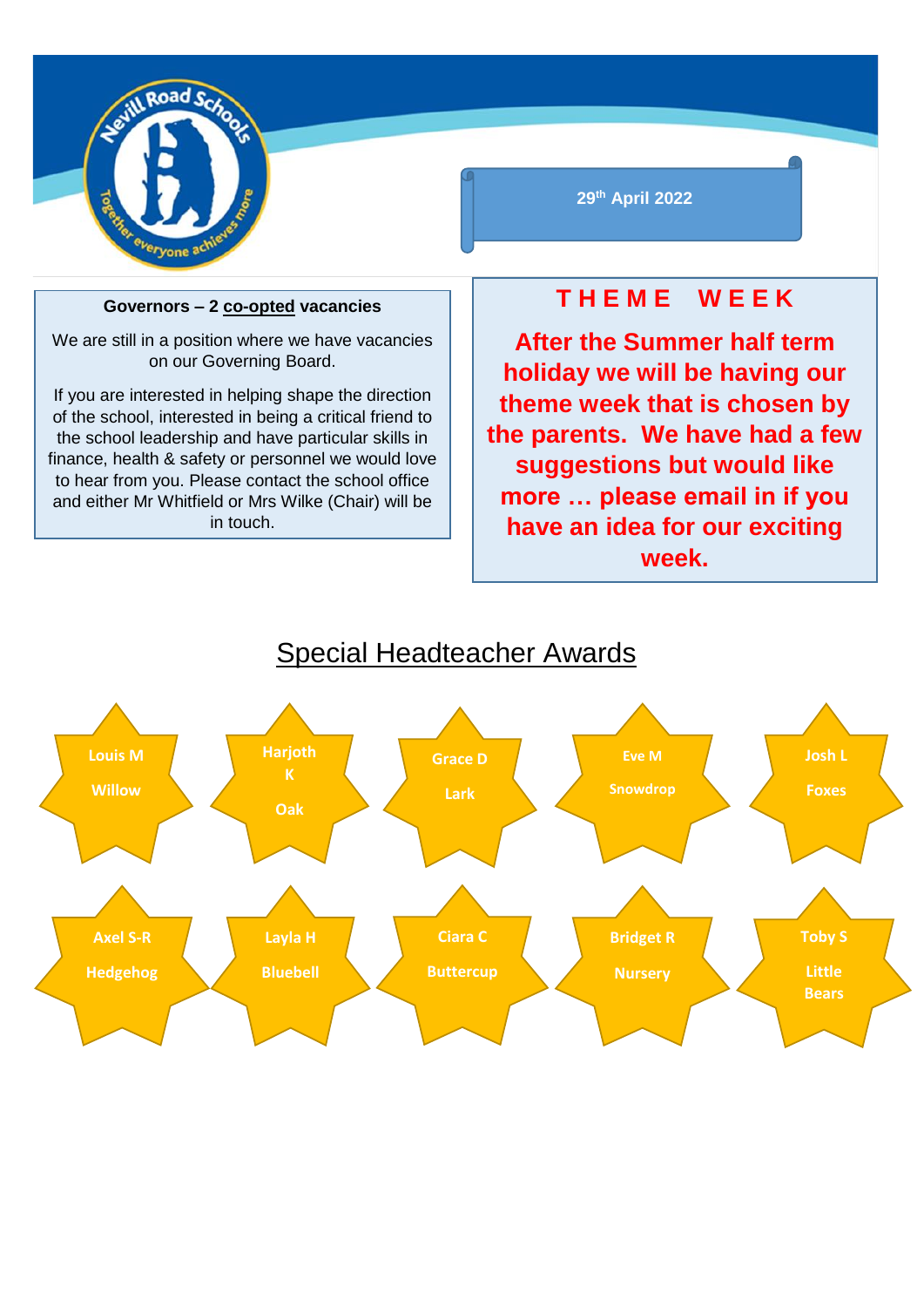

#### **Governors – 2 co-opted vacancies**

We are still in a position where we have vacancies on our Governing Board.

If you are interested in helping shape the direction of the school, interested in being a critical friend to the school leadership and have particular skills in finance, health & safety or personnel we would love to hear from you. Please contact the school office and either Mr Whitfield or Mrs Wilke (Chair) will be in touch.

## **29th April 2022**

# **T H E M E W E E K**

**After the Summer half term holiday we will be having our theme week that is chosen by the parents. We have had a few suggestions but would like more … please email in if you have an idea for our exciting week.**



# Special Headteacher Awards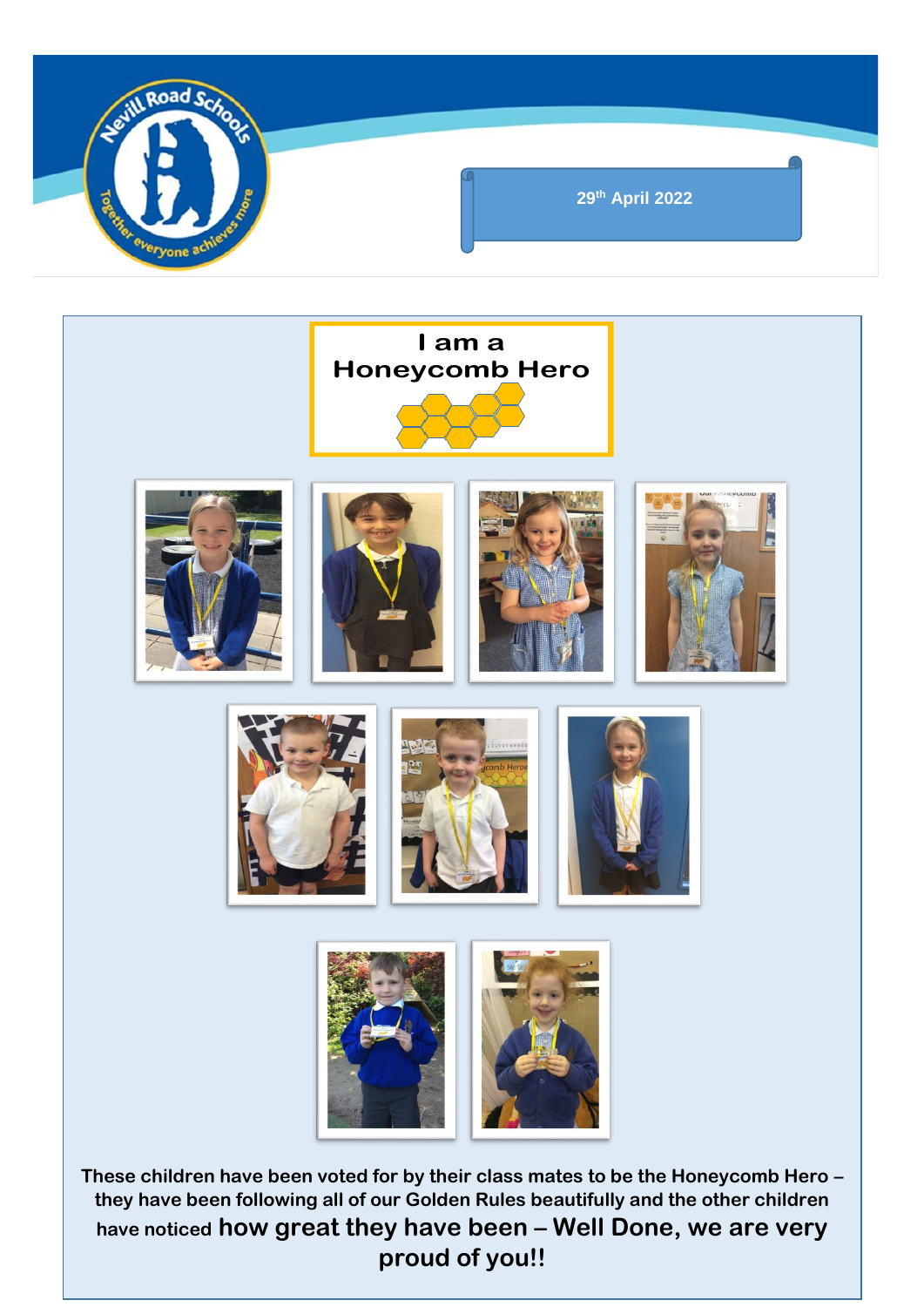

**have noticed how great they have been – Well Done, we are very proud of you!!**